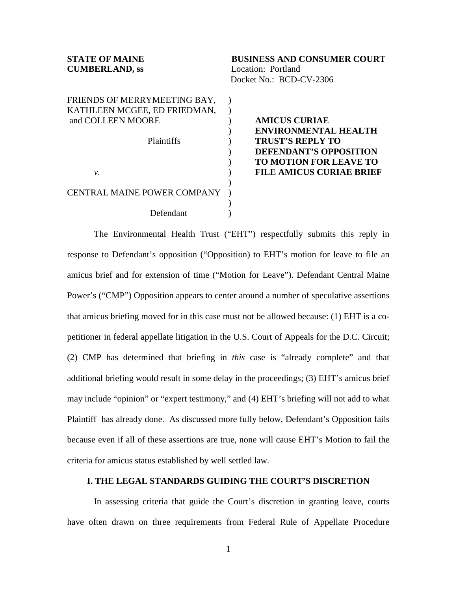| <b>STATE OF MAINE</b><br><b>CUMBERLAND, ss</b>    | <b>BUSINESS AND CONSUMER COURT</b><br>Location: Portland<br>Docket No.: BCD-CV-2306 |
|---------------------------------------------------|-------------------------------------------------------------------------------------|
| FRIENDS OF MERRYMEETING BAY,                      |                                                                                     |
| KATHLEEN MCGEE, ED FRIEDMAN,<br>and COLLEEN MOORE | <b>AMICUS CURIAE</b>                                                                |
|                                                   | <b>ENVIRONMENTAL HEALTH</b>                                                         |
| <b>Plaintiffs</b>                                 | <b>TRUST'S REPLY TO</b>                                                             |
|                                                   | <b>DEFENDANT'S OPPOSITION</b>                                                       |
|                                                   | <b>TO MOTION FOR LEAVE TO</b>                                                       |
|                                                   | <b>FILE AMICUS CURIAE BRIEF</b>                                                     |
| ν.                                                |                                                                                     |
| <b>CENTRAL MAINE POWER COMPANY</b>                |                                                                                     |
| Defendant                                         |                                                                                     |

The Environmental Health Trust ("EHT") respectfully submits this reply in response to Defendant's opposition ("Opposition) to EHT's motion for leave to file an amicus brief and for extension of time ("Motion for Leave"). Defendant Central Maine Power's ("CMP") Opposition appears to center around a number of speculative assertions that amicus briefing moved for in this case must not be allowed because: (1) EHT is a copetitioner in federal appellate litigation in the U.S. Court of Appeals for the D.C. Circuit; (2) CMP has determined that briefing in *this* case is "already complete" and that additional briefing would result in some delay in the proceedings; (3) EHT's amicus brief may include "opinion" or "expert testimony," and (4) EHT's briefing will not add to what Plaintiff has already done. As discussed more fully below, Defendant's Opposition fails because even if all of these assertions are true, none will cause EHT's Motion to fail the criteria for amicus status established by well settled law.

### **I. THE LEGAL STANDARDS GUIDING THE COURT'S DISCRETION**

In assessing criteria that guide the Court's discretion in granting leave, courts have often drawn on three requirements from Federal Rule of Appellate Procedure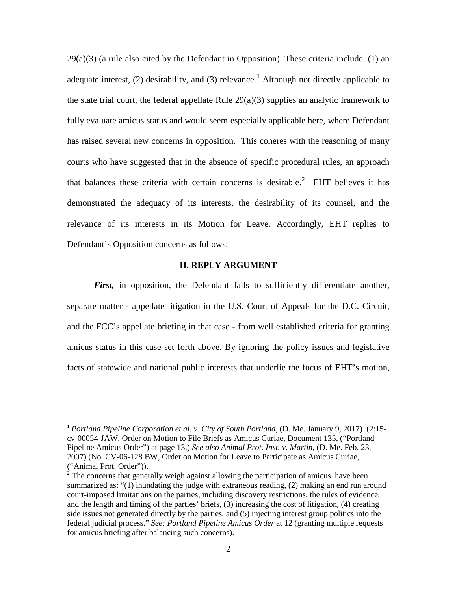$29(a)(3)$  (a rule also cited by the Defendant in Opposition). These criteria include: (1) an adequate interest, (2) desirability, and (3) relevance.<sup>[1](#page-1-0)</sup> Although not directly applicable to the state trial court, the federal appellate Rule 29(a)(3) supplies an analytic framework to fully evaluate amicus status and would seem especially applicable here, where Defendant has raised several new concerns in opposition. This coheres with the reasoning of many courts who have suggested that in the absence of specific procedural rules, an approach that balances these criteria with certain concerns is desirable.<sup>[2](#page-1-1)</sup> EHT believes it has demonstrated the adequacy of its interests, the desirability of its counsel, and the relevance of its interests in its Motion for Leave. Accordingly, EHT replies to Defendant's Opposition concerns as follows:

#### **II. REPLY ARGUMENT**

*First*, in opposition, the Defendant fails to sufficiently differentiate another, separate matter - appellate litigation in the U.S. Court of Appeals for the D.C. Circuit, and the FCC's appellate briefing in that case - from well established criteria for granting amicus status in this case set forth above. By ignoring the policy issues and legislative facts of statewide and national public interests that underlie the focus of EHT's motion,

<span id="page-1-0"></span><sup>&</sup>lt;sup>1</sup> *Portland Pipeline Corporation et al. v. City of South Portland*, (D. Me. January 9, 2017) (2:15cv-00054-JAW, Order on Motion to File Briefs as Amicus Curiae, Document 135, ("Portland Pipeline Amicus Order") at page 13.) *See also Animal Prot. Inst. v. Martin*, (D. Me. Feb. 23, 2007) (No. CV-06-128 BW, Order on Motion for Leave to Participate as Amicus Curiae,

<span id="page-1-1"></span><sup>(&</sup>quot;Animal Prot. Order")).  $2^2$  The concerns that generally weigh against allowing the participation of amicus have been summarized as: "(1) inundating the judge with extraneous reading, (2) making an end run around court-imposed limitations on the parties, including discovery restrictions, the rules of evidence, and the length and timing of the parties' briefs, (3) increasing the cost of litigation, (4) creating side issues not generated directly by the parties, and (5) injecting interest group politics into the federal judicial process." *See: Portland Pipeline Amicus Order* at 12 (granting multiple requests for amicus briefing after balancing such concerns).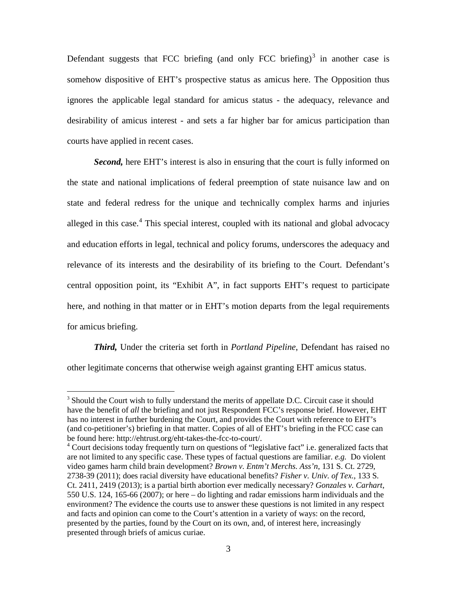Defendant suggests that FCC briefing (and only FCC briefing) $3$  in another case is somehow dispositive of EHT's prospective status as amicus here. The Opposition thus ignores the applicable legal standard for amicus status - the adequacy, relevance and desirability of amicus interest - and sets a far higher bar for amicus participation than courts have applied in recent cases.

*Second,* here EHT's interest is also in ensuring that the court is fully informed on the state and national implications of federal preemption of state nuisance law and on state and federal redress for the unique and technically complex harms and injuries alleged in this case.<sup>[4](#page-2-1)</sup> This special interest, coupled with its national and global advocacy and education efforts in legal, technical and policy forums, underscores the adequacy and relevance of its interests and the desirability of its briefing to the Court. Defendant's central opposition point, its "Exhibit A", in fact supports EHT's request to participate here, and nothing in that matter or in EHT's motion departs from the legal requirements for amicus briefing.

*Third,* Under the criteria set forth in *Portland Pipeline*, Defendant has raised no other legitimate concerns that otherwise weigh against granting EHT amicus status.

<span id="page-2-0"></span> $3$  Should the Court wish to fully understand the merits of appellate D.C. Circuit case it should have the benefit of *all* the briefing and not just Respondent FCC's response brief. However, EHT has no interest in further burdening the Court, and provides the Court with reference to EHT's (and co-petitioner's) briefing in that matter. Copies of all of EHT's briefing in the FCC case can be found here: http://ehtrust.org/eht-takes-the-fcc-to-court/.<br><sup>4</sup> Court decisions today frequently turn on questions of "legislative fact" i.e. generalized facts that

<span id="page-2-1"></span>are not limited to any specific case. These types of factual questions are familiar. *e.g.* Do violent video games harm child brain development? *Brown v. Entm't Merchs. Ass'n*, 131 S. Ct. 2729, 2738-39 (2011); does racial diversity have educational benefits? *Fisher v. Univ. of Tex.*, 133 S. Ct. 2411, 2419 (2013); is a partial birth abortion ever medically necessary? *Gonzales v. Carhart*, 550 U.S. 124, 165-66 (2007); or here – do lighting and radar emissions harm individuals and the environment? The evidence the courts use to answer these questions is not limited in any respect and facts and opinion can come to the Court's attention in a variety of ways: on the record, presented by the parties, found by the Court on its own, and, of interest here, increasingly presented through briefs of amicus curiae.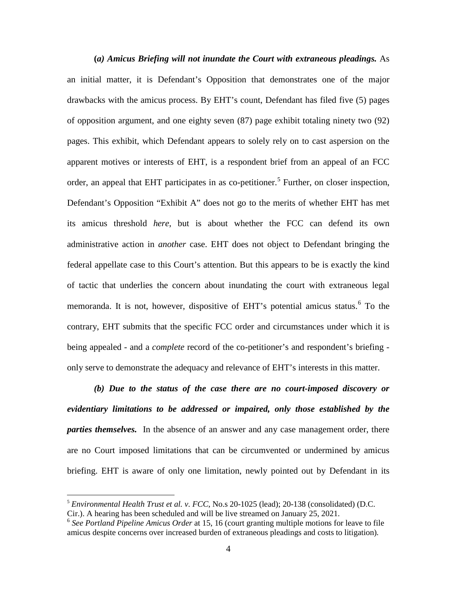**(***a) Amicus Briefing will not inundate the Court with extraneous pleadings.* As an initial matter, it is Defendant's Opposition that demonstrates one of the major drawbacks with the amicus process. By EHT's count, Defendant has filed five (5) pages of opposition argument, and one eighty seven (87) page exhibit totaling ninety two (92) pages. This exhibit, which Defendant appears to solely rely on to cast aspersion on the apparent motives or interests of EHT, is a respondent brief from an appeal of an FCC order, an appeal that EHT participates in as co-petitioner.<sup>[5](#page-3-0)</sup> Further, on closer inspection, Defendant's Opposition "Exhibit A" does not go to the merits of whether EHT has met its amicus threshold *here*, but is about whether the FCC can defend its own administrative action in *another* case. EHT does not object to Defendant bringing the federal appellate case to this Court's attention. But this appears to be is exactly the kind of tactic that underlies the concern about inundating the court with extraneous legal memoranda. It is not, however, dispositive of EHT's potential amicus status.<sup>[6](#page-3-1)</sup> To the contrary, EHT submits that the specific FCC order and circumstances under which it is being appealed - and a *complete* record of the co-petitioner's and respondent's briefing only serve to demonstrate the adequacy and relevance of EHT's interests in this matter.

*(b) Due to the status of the case there are no court-imposed discovery or evidentiary limitations to be addressed or impaired, only those established by the parties themselves.* In the absence of an answer and any case management order, there are no Court imposed limitations that can be circumvented or undermined by amicus briefing. EHT is aware of only one limitation, newly pointed out by Defendant in its

<span id="page-3-0"></span> <sup>5</sup> *Environmental Health Trust et al. v. FCC*, No.s 20-1025 (lead); 20-138 (consolidated) (D.C. Cir.). A hearing has been scheduled and will be live streamed on January 25, 2021.

<span id="page-3-1"></span><sup>6</sup> *See Portland Pipeline Amicus Order* at 15, 16 (court granting multiple motions for leave to file amicus despite concerns over increased burden of extraneous pleadings and costs to litigation)*.*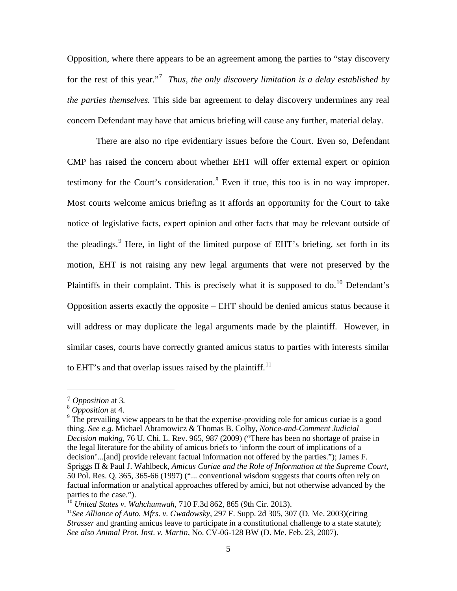Opposition, where there appears to be an agreement among the parties to "stay discovery for the rest of this year."[7](#page-4-0) *Thus, the only discovery limitation is a delay established by the parties themselves.* This side bar agreement to delay discovery undermines any real concern Defendant may have that amicus briefing will cause any further, material delay.

There are also no ripe evidentiary issues before the Court. Even so, Defendant CMP has raised the concern about whether EHT will offer external expert or opinion testimony for the Court's consideration.<sup>[8](#page-4-1)</sup> Even if true, this too is in no way improper. Most courts welcome amicus briefing as it affords an opportunity for the Court to take notice of legislative facts, expert opinion and other facts that may be relevant outside of the pleadings.<sup>[9](#page-4-2)</sup> Here, in light of the limited purpose of EHT's briefing, set forth in its motion, EHT is not raising any new legal arguments that were not preserved by the Plaintiffs in their complaint. This is precisely what it is supposed to do.<sup>[10](#page-4-3)</sup> Defendant's Opposition asserts exactly the opposite – EHT should be denied amicus status because it will address or may duplicate the legal arguments made by the plaintiff. However, in similar cases, courts have correctly granted amicus status to parties with interests similar to EHT's and that overlap issues raised by the plaintiff.<sup>[11](#page-4-4)</sup>

 $\overline{a}$ 

<span id="page-4-2"></span><span id="page-4-1"></span>

<span id="page-4-0"></span><sup>&</sup>lt;sup>7</sup> *Opposition* at 3.<br><sup>8</sup> *Opposition* at 4.<br><sup>9</sup> The prevailing view appears to be that the expertise-providing role for amicus curiae is a good thing. *See e.g.* Michael Abramowicz & Thomas B. Colby, *Notice-and-Comment Judicial Decision making*, 76 U. Chi. L. Rev. 965, 987 (2009) ("There has been no shortage of praise in the legal literature for the ability of amicus briefs to 'inform the court of implications of a decision'...[and] provide relevant factual information not offered by the parties."); James F. Spriggs II & Paul J. Wahlbeck, *Amicus Curiae and the Role of Information at the Supreme Court*, 50 Pol. Res. Q. 365, 365-66 (1997) ("... conventional wisdom suggests that courts often rely on factual information or analytical approaches offered by amici, but not otherwise advanced by the parties to the case.").

<span id="page-4-3"></span><sup>10</sup> *United States v. Wahchumwah*, 710 F.3d 862, 865 (9th Cir. 2013).

<span id="page-4-4"></span><sup>11</sup>*See Alliance of Auto. Mfrs. v. Gwadowsky*, 297 F. Supp. 2d 305, 307 (D. Me. 2003)(citing *Strasser* and granting amicus leave to participate in a constitutional challenge to a state statute); *See also Animal Prot. Inst. v. Martin*, No. CV-06-128 BW (D. Me. Feb. 23, 2007).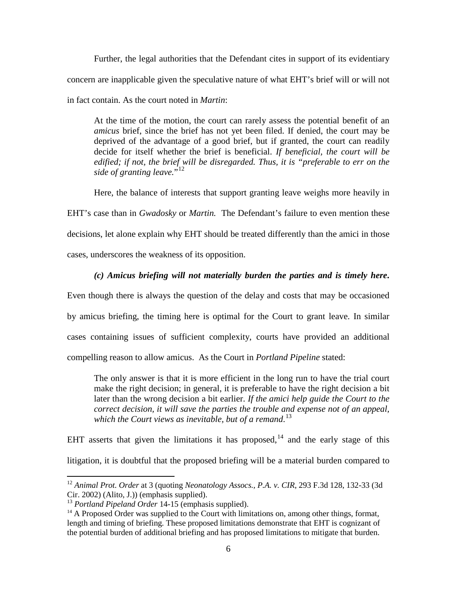Further, the legal authorities that the Defendant cites in support of its evidentiary concern are inapplicable given the speculative nature of what EHT's brief will or will not in fact contain. As the court noted in *Martin*:

At the time of the motion, the court can rarely assess the potential benefit of an *amicus* brief, since the brief has not yet been filed. If denied, the court may be deprived of the advantage of a good brief, but if granted, the court can readily decide for itself whether the brief is beneficial. *If beneficial, the court will be edified; if not, the brief will be disregarded. Thus, it is "preferable to err on the*  side of granting leave."<sup>[12](#page-5-0)</sup>

Here, the balance of interests that support granting leave weighs more heavily in

EHT's case than in *Gwadosky* or *Martin.* The Defendant's failure to even mention these decisions, let alone explain why EHT should be treated differently than the amici in those cases, underscores the weakness of its opposition.

# *(c) Amicus briefing will not materially burden the parties and is timely here***.**

Even though there is always the question of the delay and costs that may be occasioned by amicus briefing, the timing here is optimal for the Court to grant leave. In similar cases containing issues of sufficient complexity, courts have provided an additional compelling reason to allow amicus. As the Court in *Portland Pipeline* stated:

The only answer is that it is more efficient in the long run to have the trial court make the right decision; in general, it is preferable to have the right decision a bit later than the wrong decision a bit earlier. *If the amici help guide the Court to the correct decision, it will save the parties the trouble and expense not of an appeal, which the Court views as inevitable, but of a remand*. [13](#page-5-1)

EHT asserts that given the limitations it has proposed,  $14$  and the early stage of this litigation, it is doubtful that the proposed briefing will be a material burden compared to

<span id="page-5-0"></span> <sup>12</sup> *Animal Prot. Order* at 3 (quoting *Neonatology Assocs., P.A. v. CIR*, 293 F.3d 128, 132-33 (3d Cir. 2002) (Alito, J.)) (emphasis supplied).<br><sup>13</sup> Portland Pipeland Order 14-15 (emphasis supplied).

<span id="page-5-1"></span>

<span id="page-5-2"></span><sup>&</sup>lt;sup>14</sup> A Proposed Order was supplied to the Court with limitations on, among other things, format, length and timing of briefing. These proposed limitations demonstrate that EHT is cognizant of the potential burden of additional briefing and has proposed limitations to mitigate that burden.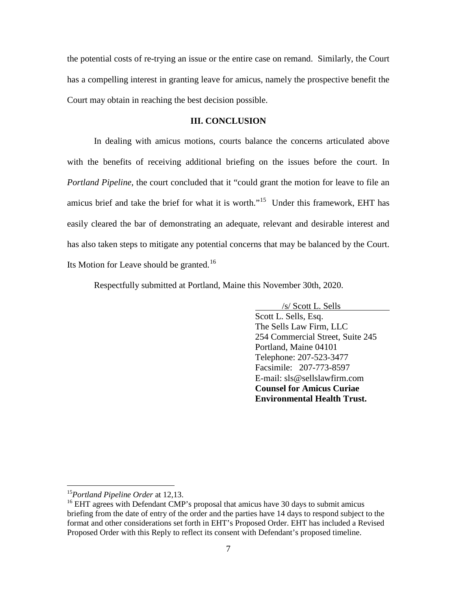the potential costs of re-trying an issue or the entire case on remand. Similarly, the Court has a compelling interest in granting leave for amicus, namely the prospective benefit the Court may obtain in reaching the best decision possible.

## **III. CONCLUSION**

In dealing with amicus motions, courts balance the concerns articulated above with the benefits of receiving additional briefing on the issues before the court. In *Portland Pipeline*, the court concluded that it "could grant the motion for leave to file an amicus brief and take the brief for what it is worth."<sup>15</sup> Under this framework, EHT has easily cleared the bar of demonstrating an adequate, relevant and desirable interest and has also taken steps to mitigate any potential concerns that may be balanced by the Court. Its Motion for Leave should be granted.<sup>[16](#page-6-1)</sup>

Respectfully submitted at Portland, Maine this November 30th, 2020.

Scott L. Sells, Esq. /s/ Scott L. Sells The Sells Law Firm, LLC 254 Commercial Street, Suite 245 Portland, Maine 04101 Telephone: 207-523-3477 Facsimile: 207-773-8597 E-mail: sls@sellslawfirm.com **Counsel for Amicus Curiae Environmental Health Trust.**

<span id="page-6-1"></span><span id="page-6-0"></span><sup>&</sup>lt;sup>15</sup>Portland Pipeline Order at 12,13.<br><sup>16</sup> EHT agrees with Defendant CMP's proposal that amicus have 30 days to submit amicus briefing from the date of entry of the order and the parties have 14 days to respond subject to the format and other considerations set forth in EHT's Proposed Order. EHT has included a Revised Proposed Order with this Reply to reflect its consent with Defendant's proposed timeline.